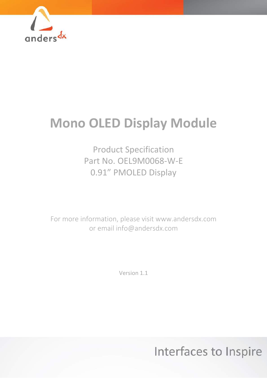

# **Mono OLED Display Module**

Product Specification Part No. OEL9M0068-W-E 0.91" PMOLED Display

For more information, please visit www.andersdx.com or email info@andersdx.com

Version 1.1

Interfaces to Inspire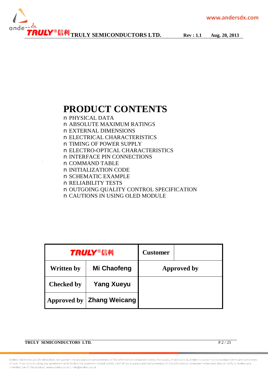

## **PRODUCT CONTENTS**

n PHYSICAL DATA n ABSOLUTE MAXIMUM RATINGS n EXTERNAL DIMENSIONS n ELECTRICAL CHARACTERISTICS n TIMING OF POWER SUPPLY n ELECTRO-OPTICAL CHARACTERISTICS n INTERFACE PIN CONNECTIONS n COMMAND TABLE n INITIALIZATION CODE n SCHEMATIC EXAMPLE n RELIABILITY TESTS n OUTGOING QUALITY CONTROL SPECIFICATION n CAUTIONS IN USING OLED MODULE

|                   | <b>TRULY®信利</b>                  | <b>Customer</b> |             |
|-------------------|----------------------------------|-----------------|-------------|
| <b>Written by</b> | Mi Chaofeng                      |                 | Approved by |
| <b>Checked by</b> | <b>Yang Xueyu</b>                |                 |             |
|                   | Approved by <b>Zhang Weicang</b> |                 |             |

**TRULY SEMICONDUCTORS LTD.** P.2 / 23

Anders Electronics plc (Anders) does not warrant the accuracy or completeness of the information contained herein, the supply of products by Anders is subject to its standard terms and conditions of sale. Prior to concluding any agreement with Anders the customer should satisfy itself of the accuracy and completeness of the information contained herein and should notify to Anders any intended use of the product. www.anders.co.uk | Info@anders.co.uk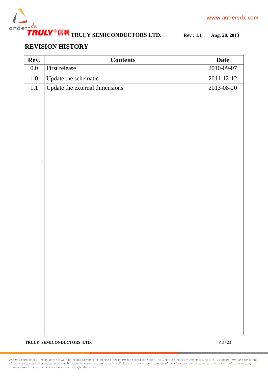

### **REVISION HISTORY**

| Rev.    | <b>Contents</b>                | <b>Date</b>      |
|---------|--------------------------------|------------------|
| $0.0\,$ | First release                  | 2010-09-07       |
| $1.0\,$ | Update the schematic           | $2011 - 12 - 12$ |
| $1.1\,$ | Update the external dimensions | 2013-08-20       |
|         |                                |                  |
|         |                                |                  |
|         |                                |                  |
|         |                                |                  |
|         |                                |                  |
|         |                                |                  |
|         |                                |                  |
|         |                                |                  |
|         |                                |                  |
|         |                                |                  |
|         |                                |                  |
|         |                                |                  |
|         |                                |                  |
|         |                                |                  |
|         |                                |                  |
|         |                                |                  |
|         |                                |                  |
|         |                                |                  |
|         |                                |                  |
|         |                                |                  |
|         |                                |                  |
|         |                                |                  |
|         |                                |                  |
|         |                                |                  |
|         |                                |                  |
|         |                                |                  |

**TRULY SEMICONDUCTORS LTD.** P.3 / 23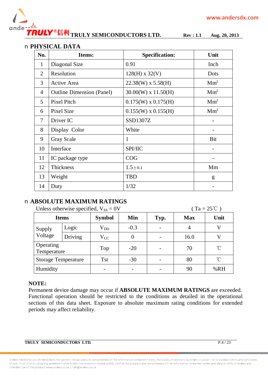

#### n **PHYSICAL DATA**

| No.            | Items:                           | <b>Specification:</b>      | Unit            |
|----------------|----------------------------------|----------------------------|-----------------|
| $\mathbf{1}$   | Diagonal Size                    | 0.91                       | Inch            |
| $\overline{2}$ | Resolution                       | $128(H)$ x 32(V)           | Dots            |
| 3              | Active Area                      | $22.38(W)$ x 5.58(H)       | Mm <sup>2</sup> |
| 4              | <b>Outline Dimension (Panel)</b> | $30.00(W)$ x $11.50(H)$    | Mm <sup>2</sup> |
| 5              | <b>Pixel Pitch</b>               | $0.175(W) \times 0.175(H)$ | Mm <sup>2</sup> |
| 6              | Pixel Size                       | $0.155(W) \times 0.155(H)$ | Mm <sup>2</sup> |
| $\tau$         | Driver IC                        | SSD1307Z                   |                 |
| 8              | Display Color                    | White                      |                 |
| 9              | <b>Gray Scale</b>                | 1                          | Bit             |
| 10             | Interface                        | <b>SPI/IIC</b>             |                 |
| 11             | IC package type                  | COG                        |                 |
| 12             | Thickness                        | $1.5 \pm 0.1$              | Mm              |
| 13             | Weight                           | <b>TBD</b>                 | g               |
| 14             | Duty                             | 1/32                       |                 |

#### n **ABSOLUTE MAXIMUM RATINGS**

| $(Ta = 25^{\circ}C)$<br>Unless otherwise specified, $V_{SS} = 0V$ |              |               |        |      |            |      |  |  |  |  |
|-------------------------------------------------------------------|--------------|---------------|--------|------|------------|------|--|--|--|--|
|                                                                   | <b>Items</b> | <b>Symbol</b> | Min    | Typ. | <b>Max</b> | Unit |  |  |  |  |
| Supply                                                            | Logic        | $\rm V_{DD}$  | $-0.3$ |      | 4          | V    |  |  |  |  |
| Voltage                                                           | Driving      | $V_{CC}$      | 0      |      | 16.0       |      |  |  |  |  |
| Operating<br>Temperature                                          |              | Top           | $-20$  |      | 70         | °C   |  |  |  |  |
| <b>Storage Temperature</b>                                        |              | <b>Tst</b>    | $-30$  |      | 80         | °C   |  |  |  |  |
| Humidity                                                          |              |               |        |      | 90         | %RH  |  |  |  |  |

#### **NOTE:**

Permanent device damage may occur if **ABSOLUTE MAXIMUM RATINGS** are exceeded. Functional operation should be restricted to the conditions as detailed in the operational sections of this data sheet. Exposure to absolute maximum rating conditions for extended periods may affect reliability.

**TRULY SEMICONDUCTORS LTD.** P.4 / 23

Anders Electronics plc (Anders) does not warrant the accuracy or completeness of the information contained herein, the supply of products by Anders is subject to its standard terms and conditions of sale. Prior to concluding any agreement with Anders the customer should satisfy itself of the accuracy and completeness of the information contained herein and should notify to Anders any intended use of the product, www.anders.co.uk | Info@anders.co.uk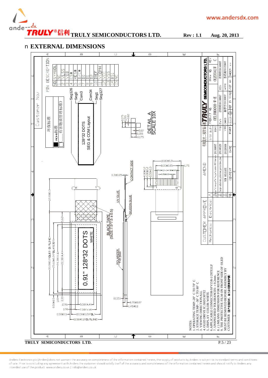





Anders Electronics plc (Anders) does not warrant the accuracy or completeness of the information contained herein, the supply of products by Anders is subject to its standard terms and conditions of sale. Prior to concluding any agreement with Anders the customer should satisfy itself of the accuracy and completeness of the information contained herein and should notify to Anders any and Concluding any agreement wi intended use of the product. www.anders.co.uk | Info@anders.co.uk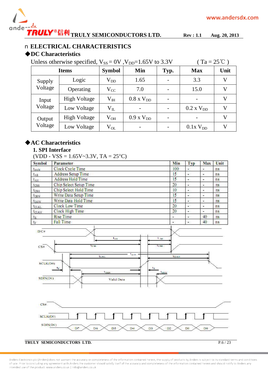

#### n **ELECTRICAL CHARACTERISTICS**

#### **◆DC Characteristics**

Unless otherwise specified,  $V_{SS} = 0V$ ,  $V_{DD} = 1.65V$  to 3.3V (Ta = 25°C)

|                   | <b>Items</b>        | <b>Symbol</b>    | Min                 | Typ. | <b>Max</b>       | Unit |
|-------------------|---------------------|------------------|---------------------|------|------------------|------|
| Supply            | Logic               | $\rm V_{DD}$     | 1.65                |      | 3.3              |      |
| Voltage           | Operating           | $\rm V_{CC}$     | 7.0                 |      | 15.0             |      |
| Input             | <b>High Voltage</b> | $\rm V_{\rm IH}$ | $0.8 \times V_{DD}$ |      | -                |      |
| Voltage           | Low Voltage         | $V_{IL}$         |                     |      | $0.2$ x $V_{DD}$ |      |
| Output<br>Voltage | <b>High Voltage</b> | $\rm V_{OH}$     | $0.9$ x $V_{DD}$    |      | -                |      |
|                   | Low Voltage         | $\rm V_{OL}$     |                     |      | $0.1x$ $V_{DD}$  |      |

#### **◆AC Characteristics**

#### **1. SPI Interface**

(VDD - VSS =  $1.65V - 3.3V$ , TA =  $25^{\circ}$ C)

| Symbol           | Parameter                 | Min | Typ         | Max | Unit           |
|------------------|---------------------------|-----|-------------|-----|----------------|
| tevels           | Clock Cycle Time          | 100 | ٠           |     | ns.            |
| $t_{AS}$         | <b>Address Setup Time</b> | 15  | $\bullet$   |     | ns             |
| $t_{AH}$         | Address Hold Time         | 15  | ×           |     | n <sub>s</sub> |
| tess             | Chip Select Setup Time    | 20  | œ.          |     | $n$            |
| $t_{\rm CSH}$    | Chip Select Hold Time     | 10  | ۰           |     | n <sub>s</sub> |
| $t_{DSW}$        | Write Data Setup Time     | 15  |             | ۰   | ns             |
| t <sub>DHW</sub> | Write Data Hold Time      | 15  |             |     | ns             |
| tcLKL            | <b>Clock Low Time</b>     | 20  | i al        |     | ns:            |
| tclkH            | Clock High Time           | 20  | $\bullet$ . | ۰   | ns             |
| $t_{R}$          | <b>Rise Time</b>          |     | $\bullet$ . | 40  | ns             |
| $t_{\rm F}$      | <b>Fall Time</b>          | ٠   | $\bullet$ . | 40  | ns.            |





#### **TRULY SEMICONDUCTORS LTD.** P.6/23

Anders Electronics plc (Anders) does not warrant the accuracy or completeness of the information contained herein, the supply of products by Anders is subject to its standard terms and conditions of sale. Prior to concluding any agreement with Anders the customer should satisfy itself of the accuracy and completeness of the information contained herein and should notify to Anders any intended use of the product, www.anders.co.uk | Info@anders.co.uk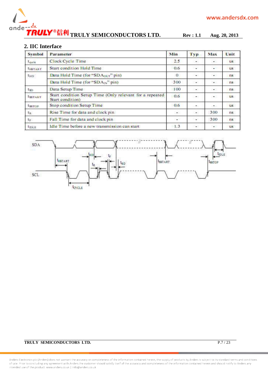

#### **2. IIC Interface**

| <b>Symbol</b>  | Parameter                                                                    | Min      | Typ       | Max                                     | Unit        |
|----------------|------------------------------------------------------------------------------|----------|-----------|-----------------------------------------|-------------|
| Levele         | Clock Cycle Time                                                             | 2.5      |           | ۰                                       | <b>us</b>   |
| <b>LISTART</b> | <b>Start condition Hold Time</b>                                             | 0.6      | s         | $\Delta\phi$                            | <b>U.S.</b> |
| $t_{HD}$       | Data Hold Time (for "SDA <sub>OUT</sub> " pin)                               | $\Omega$ | ×.        | $\omega_{\rm{eff}}$                     | ns          |
|                | Data Hold Time (for "SDA <sub>IN</sub> " pin)                                | 300      | ٠         | $\mathcal{L}_{\mathcal{F},\mathcal{F}}$ | ns.         |
| $t_{SD}$       | Data Setup Time                                                              | 100      | $\sim$    | $\bullet$                               | ns.         |
| <b>ISSTART</b> | Start condition Setup Time (Only relevant for a repeated<br>Start condition) | 0.6      | $\bullet$ |                                         | <b>US</b>   |
| tssTOP         | Stop condition Setup Time                                                    | 0.6      | 25        |                                         | <b>US</b>   |
| $t_{R}$        | Rise Time for data and clock pin                                             | ۰        | ÷.        | 300                                     | ns          |
| $t_F$          | Fall Time for data and clock pin                                             | 20       | ÷         | 300                                     | ns          |
| <b>LIDLE</b>   | Idle Time before a new transmission can start                                | 1.3      | $\sim$    | $\mathcal{L}_{\mathcal{A}}$             | <b>US</b>   |



#### **TRULY SEMICONDUCTORS LTD.** P.7 / 23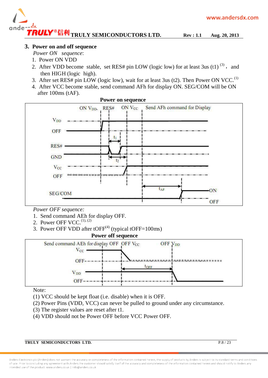

#### **3. Power on and off sequence**

- *Power ON sequence*:
- 1. Power ON VDD
- 2. After VDD become stable, set RES# pin LOW (logic low) for at least 3us (t1)  $^{(3)}$ , and then HIGH (logic high).
- 3. After set RES# pin LOW (logic low), wait for at least 3us (t2). Then Power ON VCC.<sup>(1)</sup>
- 4. After VCC become stable, send command AFh for display ON. SEG/COM will be ON after 100ms (tAF).



#### **Power on sequence**

*Power OFF sequence:* 

- 1. Send command AEh for display OFF.
- 2. Power OFF VCC. $^{(1), (2)}$
- 3. Power OFF VDD after  $to$ FF $^{(4)}$  (typical tOFF=100ms)

#### **Power off sequence**



Note:

- (1) VCC should be kept float (i.e. disable) when it is OFF.
- (2) Power Pins (VDD, VCC) can never be pulled to ground under any circumstance.
- (3) The register values are reset after t1.
- (4) VDD should not be Power OFF before VCC Power OFF.

**TRULY SEMICONDUCTORS LTD.** P.8 / 23

Anders Electronics plc (Anders) does not warrant the accuracy or completeness of the information contained herein, the supply of products by Anders is subject to its standard terms and conditions of sale. Prior to concluding any agreement with Anders the customer should satisfy itself of the accuracy and completeness of the information contained herein and should notify to Anders any intended use of the product, www.anders.co.uk | Info@anders.co.uk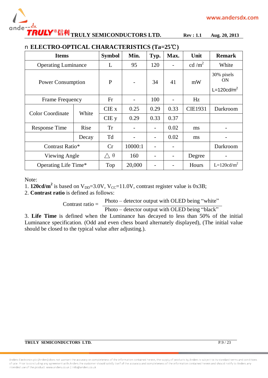

## **TRULY SEMICONDUCTORS LTD. Rev : 1.1 Aug. 20, 2013**

| $\sim$ 110.10 cm in contract $\sim$ |       |                   |         |      |      |                   |                         |  |  |  |
|-------------------------------------|-------|-------------------|---------|------|------|-------------------|-------------------------|--|--|--|
| <b>Items</b>                        |       | <b>Symbol</b>     | Min.    | Typ. | Max. | Unit              | <b>Remark</b>           |  |  |  |
| <b>Operating Luminance</b>          |       | L                 | 95      | 120  |      | cd/m <sup>2</sup> | White                   |  |  |  |
| <b>Power Consumption</b>            |       | P                 |         | 34   | 41   | mW                | 30% pixels<br><b>ON</b> |  |  |  |
|                                     |       |                   |         |      |      |                   | $L=120cd/m2$            |  |  |  |
| Frame Frequency                     |       | Fr                |         | 100  |      | Hz                |                         |  |  |  |
| <b>Color Coordinate</b>             | White | $CIE$ x           | 0.25    | 0.29 | 0.33 | <b>CIE1931</b>    | Darkroom                |  |  |  |
|                                     |       | CIE y             | 0.29    | 0.33 | 0.37 |                   |                         |  |  |  |
| <b>Response Time</b>                | Rise  | <b>Tr</b>         |         |      | 0.02 | ms                |                         |  |  |  |
|                                     | Decay | Td                |         |      | 0.02 | ms                |                         |  |  |  |
| Contrast Ratio*                     |       | Cr                | 10000:1 |      |      |                   | Darkroom                |  |  |  |
| Viewing Angle                       |       | $\wedge$ $\theta$ | 160     |      |      | Degree            |                         |  |  |  |
| Operating Life Time*                |       | Top               | 20,000  |      |      | Hours             | $L=120cd/m^2$           |  |  |  |

#### n **ELECTRO-OPTICAL CHARACTERISTICS (Ta=25℃)**

Note:

1. **120cd/m<sup>2</sup>** is based on V<sub>DD</sub>=3.0V, V<sub>CC</sub>=11.0V, contrast register value is 0x3B;

2. **Contrast ratio** is defined as follows:

Contrast ratio  $=$  Photo – detector output with OLED being "white"

Photo – detector output with OLED being "black"

3. **Life Time** is defined when the Luminance has decayed to less than 50% of the initial Luminance specification. (Odd and even chess board alternately displayed), (The initial value should be closed to the typical value after adjusting.).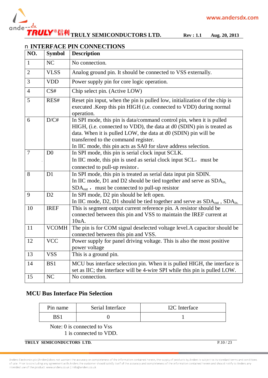

## **TRULY SEMICONDUCTORS LTD. Rev : 1.1 Aug. 20, 2013**

|                |                | n INTERFACE PIN CONNECTIONS                                                                                                                                                                                                                                                                                                |
|----------------|----------------|----------------------------------------------------------------------------------------------------------------------------------------------------------------------------------------------------------------------------------------------------------------------------------------------------------------------------|
| NO.            | <b>Symbol</b>  | <b>Description</b>                                                                                                                                                                                                                                                                                                         |
| $\mathbf{1}$   | NC             | No connection.                                                                                                                                                                                                                                                                                                             |
| $\overline{2}$ | <b>VLSS</b>    | Analog ground pin. It should be connected to VSS externally.                                                                                                                                                                                                                                                               |
| 3              | <b>VDD</b>     | Power supply pin for core logic operation.                                                                                                                                                                                                                                                                                 |
| $\overline{4}$ | CS#            | Chip select pin. (Active LOW)                                                                                                                                                                                                                                                                                              |
| 5              | RES#           | Reset pin input, when the pin is pulled low, initialization of the chip is<br>executed . Keep this pin HIGH (i.e. connected to VDD) during normal<br>operation.                                                                                                                                                            |
| 6              | D/C#           | In SPI mode, this pin is data/command control pin, when it is pulled<br>HIGH, (i.e. connected to VDD), the data at d0 (SDIN) pin is treated as<br>data. When it is pulled LOW, the data at d0 (SDIN) pin will be<br>transferred to the command register.<br>In IIC mode, this pin acts as SA0 for slave address selection. |
| $\overline{7}$ | D <sub>0</sub> | In SPI mode, this pin is serial clock input SCLK.<br>In IIC mode, this pin is used as serial clock input SCL, must be<br>connected to pull-up resistor.                                                                                                                                                                    |
| 8              | D <sub>1</sub> | In SPI mode, this pin is treated as serial data input pin SDIN.<br>In IIC mode, D1 and D2 should be tied together and serve as SDA <sub>in,</sub><br>$SDAout$ , must be connected to pull-up resistor                                                                                                                      |
| 9              | D2             | In SPI mode, D2 pin should be left open.<br>In IIC mode, D2, D1 should be tied together and serve as SDA <sub>out</sub> , SDA <sub>in.</sub>                                                                                                                                                                               |
| 10             | <b>IREF</b>    | This is segment output current reference pin. A resistor should be<br>connected between this pin and VSS to maintain the IREF current at<br>10uA.                                                                                                                                                                          |
| 11             | <b>VCOMH</b>   | The pin is for COM signal deselected voltage level. A capacitor should be<br>connected between this pin and VSS.                                                                                                                                                                                                           |
| 12             | <b>VCC</b>     | Power supply for panel driving voltage. This is also the most positive<br>power voltage                                                                                                                                                                                                                                    |
| 13             | <b>VSS</b>     | This is a ground pin.                                                                                                                                                                                                                                                                                                      |
| 14             | BS1            | MCU bus interface selection pin. When it is pulled HIGH, the interface is<br>set as IIC; the interface will be 4-wire SPI while this pin is pulled LOW.                                                                                                                                                                    |
| 15             | NC             | No connection.                                                                                                                                                                                                                                                                                                             |

#### **MCU Bus Interface Pin Selection**

| Pin name | Serial Interface | I2C Interface |
|----------|------------------|---------------|
|          |                  |               |

Note: 0 is connected to Vss 1 is connected to VDD.

#### **TRULY SEMICONDUCTORS LTD.** P.10 / 23

Anders Electronics plc (Anders) does not warrant the accuracy or completeness of the information contained herein, the supply of products by Anders is subject to its standard terms and conditions of sale. Prior to concluding any agreement with Anders the customer should satisfy itself of the accuracy and completeness of the information contained herein and should notify to Anders any intended use of the product. www.anders.co.uk | Info@anders.co.uk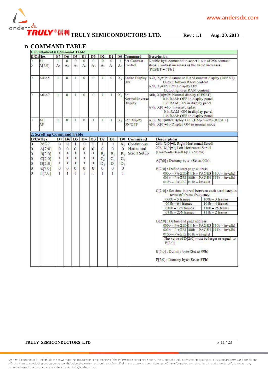

### n **COMMAND TABLE**

|                                      | <b>1. Fundamental Command Table</b> |                |                |                |                |                |                |                |                |                                     |                                                                                                                                                                                                             |
|--------------------------------------|-------------------------------------|----------------|----------------|----------------|----------------|----------------|----------------|----------------|----------------|-------------------------------------|-------------------------------------------------------------------------------------------------------------------------------------------------------------------------------------------------------------|
|                                      | D/C#Hex                             | D7             | D6             | D5             | D <sub>4</sub> | D <sub>3</sub> | D2             | D <sub>1</sub> | D <sub>0</sub> | Command                             | <b>Description</b>                                                                                                                                                                                          |
| o                                    | 81                                  | n              | $\mathbf{0}$   | $\Omega$       | $\overline{0}$ | $\Omega$       | $\overline{0}$ | $\Omega$       | 1              | <b>Set Contrast</b>                 | Double byte command to select 1 out of 256 contrast                                                                                                                                                         |
| o                                    | A[7:0]                              | A,             | A <sub>6</sub> | Ae             | $A_4$          | Ar             | As             | $A_1$          | $A_0$          | Control                             | steps. Contrast increases as the value increases.<br>$RESET = 7Fh$ )                                                                                                                                        |
| O                                    | A4/AS                               | $\mathbf{1}$   | $\bf{0}$       | ı              | $\overline{0}$ | $\Omega$       | $\mathbf{I}$   | 0              | $X_0$          | ОN                                  | Entire Display A4h, X <sub>0</sub> =0b: Resume to RAM content display (RESET).<br>Output follows RAM content<br>A5h, X <sub>0</sub> -1b: Entire display ON<br>Output ignores RAM content                    |
| o                                    | A6/A7                               | $\mathbf{1}$   | $\mathbf{0}$   | 1              | $\theta$       | $\Omega$       | $\mathbf{I}$   | 4              | $X_0$          | Set<br>Normal/Inverse<br>Display    | A6h, X[0]=0b: Normal display (RESET)<br>0 in RAM: OFF in display panel<br>1 in RAM: ON in display panel<br>A7h, X[0]=1b: Inverse display<br>0 in RAM: ON in display panel<br>1 in RAM: OFF in display panel |
| G                                    | AE<br>AF                            | 1              | $\bf{0}$       | л              | $\bf{0}$       | л              | I              | 1              | $X_0$          | <b>Set Display</b><br><b>ON/OFF</b> | AEh, X[0]=0b:Display OFF (sleep mode) (RESET).<br>AFh X[0]-1b:Display ON in normal mode                                                                                                                     |
|                                      | 2. Scrolling Command Table          |                |                |                |                |                |                |                |                |                                     |                                                                                                                                                                                                             |
|                                      | $D/C\#Hex$                          | D7             | D <sub>6</sub> | D5             | D <sub>4</sub> | D3             | D2             | D1             | D <sub>0</sub> | Command                             | <b>Description</b>                                                                                                                                                                                          |
| $\overline{0}$                       | 26/27                               | $\overline{0}$ | $\overline{0}$ | $\mathbf{1}$   | $\overline{0}$ | $\overline{0}$ | $\mathbf{I}$   | 1              | $X_0$          | Continuous                          | 26h, X[0]=0, Right Horizontal Scroll                                                                                                                                                                        |
| $ 0\rangle$                          | A[7:0]                              | $\overline{0}$ | $\overline{0}$ | $\overline{0}$ | $\overline{0}$ | $\overline{0}$ | $\sigma$       | $\overline{0}$ | $\Omega$       | Horizontal                          | 27h, X[0]-1, Left Horizontal Scroll                                                                                                                                                                         |
|                                      |                                     | ×              | ×              | *              | ¥              | *              |                |                |                | Scroll Setup                        | (Horizontal scroll by 1 column)                                                                                                                                                                             |
| $\vert 0 \vert$                      | B[2:0]                              | ×              |                | *              | ¥              |                | B <sub>2</sub> | $B_1$          | $B_0$          |                                     |                                                                                                                                                                                                             |
| $\vert_0$                            | C[2:0]                              |                | *              |                |                | *              | C <sub>2</sub> | $C_1$          | $C_0$          |                                     | A[7:0]: Dummy byte (Set as 00h)                                                                                                                                                                             |
|                                      | D[2:0]                              | ×              | *              | *              | ¥              | *              | D <sub>2</sub> | D.             | $D_{\alpha}$   |                                     |                                                                                                                                                                                                             |
| $\begin{matrix} 0 \\ 0 \end{matrix}$ | E[7:0]                              | $\mathbf{0}$   | $\overline{0}$ | $\Omega$       | $\mathbf 0$    | $\overline{0}$ | $\Omega$       | $\overline{0}$ | $\overline{0}$ |                                     | B[2:0]: Define start page address                                                                                                                                                                           |
| $\overline{0}$                       | F[7:0]                              | $\mathbf{1}$   | $\mathbf{I}$   | $\mathbf{1}$   | $\mathbf{F}$   | $\mathbf{I}$   | $\mathbf{F}$   | $\mathbf{I}$   | $\mathbf{F}$   |                                     | 000b - PAGE0 011b - PAGE3 110b - invalid                                                                                                                                                                    |
|                                      |                                     |                |                |                |                |                |                |                |                |                                     | 001b - PAGE1 100b - PAGE4 1111b - invalid                                                                                                                                                                   |
|                                      |                                     |                |                |                |                |                |                |                |                |                                     | $010b - PAGE2$ $101b - invalid$                                                                                                                                                                             |
|                                      |                                     |                |                |                |                |                |                |                |                |                                     |                                                                                                                                                                                                             |
|                                      |                                     |                |                |                |                |                |                |                |                |                                     | C[2:0]: Set time interval between each scroll step in<br>terms of frame frequency                                                                                                                           |
|                                      |                                     |                |                |                |                |                |                |                |                |                                     | $100b - 3$ frames<br>$000b - 5$ frames                                                                                                                                                                      |
|                                      |                                     |                |                |                |                |                |                |                |                |                                     | $001b - 64$ frames<br>$101b - 4$ frames                                                                                                                                                                     |
|                                      |                                     |                |                |                |                |                |                |                |                |                                     | $010b - 128$ frames<br>$110b - 25$ frame                                                                                                                                                                    |
|                                      |                                     |                |                |                |                |                |                |                |                |                                     | $011b - 256$ frames<br>$111b - 2$ frame                                                                                                                                                                     |
|                                      |                                     |                |                |                |                |                |                |                |                |                                     |                                                                                                                                                                                                             |
|                                      |                                     |                |                |                |                |                |                |                |                |                                     | $D[2:0]$ : Define end page address                                                                                                                                                                          |
|                                      |                                     |                |                |                |                |                |                |                |                |                                     | 000b - PAGE0 011b - PAGE3 110b - invalid                                                                                                                                                                    |
|                                      |                                     |                |                |                |                |                |                |                |                |                                     | 001b - PAGE1 100b - PAGE4 111b - invalid                                                                                                                                                                    |
|                                      |                                     |                |                |                |                |                |                |                |                |                                     | $010b - PAGE2$ $101b - invalid$                                                                                                                                                                             |
|                                      |                                     |                |                |                |                |                |                |                |                |                                     | The value of D[2:0] must be larger or equal to<br>B[2:0]                                                                                                                                                    |
|                                      |                                     |                |                |                |                |                |                |                |                |                                     | E[7:0]: Dummy byte (Set as 00h)                                                                                                                                                                             |
|                                      |                                     |                |                |                |                |                |                |                |                |                                     | F[7:0]: Dummy byte (Set as FFh)                                                                                                                                                                             |

#### **TRULY SEMICONDUCTORS LTD.** P.11/23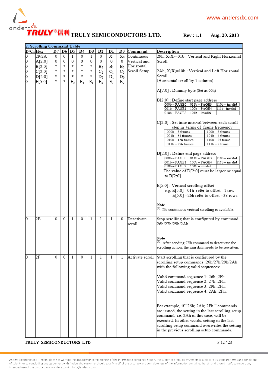

|             | 2. Scrolling Command Table |    |   |       |       |       |                |                |               |                 |                                                                        |
|-------------|----------------------------|----|---|-------|-------|-------|----------------|----------------|---------------|-----------------|------------------------------------------------------------------------|
| $D/C\#$ Hex |                            | D7 |   | D6 D5 | D4    | D3    | D <sub>2</sub> | Dl             | $\mathbf{D}0$ | Command         | Description                                                            |
| 0           | 29/2A                      | 0  | 0 | 1     | 0     | 1     | 0              | $X_1$          | $X_0$         | Continuous      | 29h, X <sub>1</sub> X <sub>0</sub> =01b: Vertical and Right Horizontal |
| 0           | A[2:0]                     | 0  | 0 | 0     | 0     | 0     | 0              | 0              | 0             | Vertical and    | Scroll                                                                 |
|             |                            | 求  | 冰 | 家     | 冰     | 冰     |                |                |               | Horizontal      |                                                                        |
| 0           | B[2:0]                     | 水  | 車 | 水     | 車     | 家     | B <sub>2</sub> | B <sub>1</sub> | $B_0$         |                 |                                                                        |
| 0           | C[2:0]                     |    |   |       |       |       | $C_2$          | $C_1$          | $C_0$         | Scroll Setup    | $2Ah, X_1X_0=10b$ : Vertical and Left Horizontal                       |
| 0           | D[2:0]                     | 求  | 冰 | 水     | *     | *     | D <sub>2</sub> | $D_1$          | $D_0$         |                 | Scroll                                                                 |
| 0           | E[5:0]                     | 車  | 車 | Eς    | $E_4$ | $E_3$ | E <sub>2</sub> | $E_1$          | $E_0$         |                 | (Horizontal scroll by 1 column)                                        |
|             |                            |    |   |       |       |       |                |                |               |                 |                                                                        |
|             |                            |    |   |       |       |       |                |                |               |                 | A[7:0] : Dummy byte (Set as 00h)                                       |
|             |                            |    |   |       |       |       |                |                |               |                 |                                                                        |
|             |                            |    |   |       |       |       |                |                |               |                 | B[2:0] : Define start page address                                     |
|             |                            |    |   |       |       |       |                |                |               |                 | 000b-PAGE0<br>$011b - PAGE3$<br>110b - invalid                         |
|             |                            |    |   |       |       |       |                |                |               |                 | 001b - PAGE1<br>100b - PAGE4<br>111b-invalid                           |
|             |                            |    |   |       |       |       |                |                |               |                 | 010b - PAGE2<br>101b - invalid                                         |
|             |                            |    |   |       |       |       |                |                |               |                 |                                                                        |
|             |                            |    |   |       |       |       |                |                |               |                 | C[2:0] : Set time interval between each scroll                         |
|             |                            |    |   |       |       |       |                |                |               |                 | step in terms of frame frequency                                       |
|             |                            |    |   |       |       |       |                |                |               |                 | $000b - 5$ frames<br>$100b - 3$ frames                                 |
|             |                            |    |   |       |       |       |                |                |               |                 | $001b - 64$ frames<br>$101b - 4$ frames                                |
|             |                            |    |   |       |       |       |                |                |               |                 | $010b - 128$ frames<br>$110b - 25$ frame                               |
|             |                            |    |   |       |       |       |                |                |               |                 | $011b - 256$ frames<br>$111b - 2$ frame                                |
|             |                            |    |   |       |       |       |                |                |               |                 |                                                                        |
|             |                            |    |   |       |       |       |                |                |               |                 | D[2:0] : Define end page address                                       |
|             |                            |    |   |       |       |       |                |                |               |                 | 000b - PAGE0 011b - PAGE3<br>110b - invalid                            |
|             |                            |    |   |       |       |       |                |                |               |                 | 001b – PAGE1<br>100b - PAGE4<br>111b - invalid                         |
|             |                            |    |   |       |       |       |                |                |               |                 | 010b - PAGE2   101b - invalid                                          |
|             |                            |    |   |       |       |       |                |                |               |                 | The value of D[2:0] must be larger or equal                            |
|             |                            |    |   |       |       |       |                |                |               |                 | to $B[2:0]$                                                            |
|             |                            |    |   |       |       |       |                |                |               |                 |                                                                        |
|             |                            |    |   |       |       |       |                |                |               |                 | E[5:0] : Vertical scrolling offset                                     |
|             |                            |    |   |       |       |       |                |                |               |                 | e.g. $E[5:0] = 01h$ refer to offset =1 row                             |
|             |                            |    |   |       |       |       |                |                |               |                 | $E[5:0] = 26h$ refer to offset = 38 rows                               |
|             |                            |    |   |       |       |       |                |                |               |                 |                                                                        |
|             |                            |    |   |       |       |       |                |                |               |                 | Note                                                                   |
|             |                            |    |   |       |       |       |                |                |               |                 |                                                                        |
|             |                            |    |   |       |       |       |                |                |               |                 | $\binom{1}{1}$ No continuous vertical scrolling is available.          |
| O           | 2Е                         | 0  |   |       | 0     |       |                |                |               |                 |                                                                        |
|             |                            |    | 0 | 1     |       | 1     | 1              | 1              | 0             | Deactivate      | Stop scrolling that is configured by command                           |
|             |                            |    |   |       |       |       |                |                |               | scroll          | 26h/27h/29h/2Ah.                                                       |
|             |                            |    |   |       |       |       |                |                |               |                 |                                                                        |
|             |                            |    |   |       |       |       |                |                |               |                 |                                                                        |
|             |                            |    |   |       |       |       |                |                |               |                 | Note                                                                   |
|             |                            |    |   |       |       |       |                |                |               |                 | $^{(1)}$ After sending 2Eh command to deactivate the                   |
|             |                            |    |   |       |       |       |                |                |               |                 | scrolling action, the ram data needs to be rewritten.                  |
|             |                            |    |   |       |       |       |                |                |               |                 |                                                                        |
| O           | 2Ε                         | 0  | 0 | 1     | 0     | 1     | 1              | 1              | 1             | Activate scroll | Start scrolling that is configured by the                              |
|             |                            |    |   |       |       |       |                |                |               |                 | scrolling setup commands :26h/27h/29h/2Ah                              |
|             |                            |    |   |       |       |       |                |                |               |                 | with the following valid sequences:                                    |
|             |                            |    |   |       |       |       |                |                |               |                 |                                                                        |
|             |                            |    |   |       |       |       |                |                |               |                 | .2Fh: Valid command sequence 1: 26h                                    |
|             |                            |    |   |       |       |       |                |                |               |                 |                                                                        |
|             |                            |    |   |       |       |       |                |                |               |                 | Valid command sequence 2: 27h ;2Fh.                                    |
|             |                            |    |   |       |       |       |                |                |               |                 | Valid command sequence 3: 29h ;2Fh.                                    |
|             |                            |    |   |       |       |       |                |                |               |                 | Valid command sequence 4: 2Ah ;2Fh.                                    |
|             |                            |    |   |       |       |       |                |                |               |                 |                                                                        |
|             |                            |    |   |       |       |       |                |                |               |                 |                                                                        |
|             |                            |    |   |       |       |       |                |                |               |                 | For example, if "26h; 2Ah; 2Fh." commands                              |
|             |                            |    |   |       |       |       |                |                |               |                 | are issued, the setting in the last scrolling setup                    |
|             |                            |    |   |       |       |       |                |                |               |                 | command, i.e. 2Ah in this case, will be                                |
|             |                            |    |   |       |       |       |                |                |               |                 | executed. In other words, setting in the last                          |
|             |                            |    |   |       |       |       |                |                |               |                 |                                                                        |
|             |                            |    |   |       |       |       |                |                |               |                 | scrolling setup command overwrites the setting                         |
|             |                            |    |   |       |       |       |                |                |               |                 | in the previous scrolling setup commands.                              |
|             |                            |    |   |       |       |       |                |                |               |                 |                                                                        |

**TRULY SEMICONDUCTORS LTD.** P.12 / 23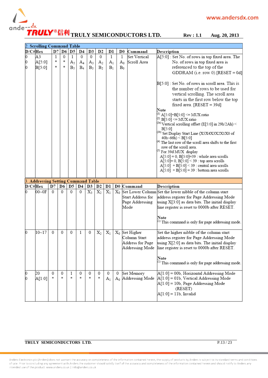

|             | 2. Scrolling Command Table              |    |          |              |          |             |                |                |   |                |                       |                                                                                                     |
|-------------|-----------------------------------------|----|----------|--------------|----------|-------------|----------------|----------------|---|----------------|-----------------------|-----------------------------------------------------------------------------------------------------|
| $D/C\#$ Hex |                                         | D7 |          | D6 D5        | D4       | D3          | D2             | Dl             |   | $\mathbf{D}0$  | Command               | Description                                                                                         |
| 0           | A3                                      | 1  | 0        | $\mathbf{1}$ | 0        | $\mathbf 0$ | 0              | $\mathbf{1}$   |   | $\mathbf{1}$   | Set Vertical          | A[5:0] : Set No. of rows in top fixed area. The                                                     |
| 0           | A[5:0]                                  | *  | *        | $A_5$        | $A_4$    | $A_3$       | $A_2$          | A <sub>1</sub> |   | $A_0$          | Scroll Area           | No. of rows in top fixed area is                                                                    |
| 0           | B[5:0]                                  | *  | 車        | $B_5$        | $B_4$    | $B_3$       | B <sub>2</sub> | B <sub>1</sub> |   | B <sub>0</sub> |                       | referenced to the top of the                                                                        |
|             |                                         |    |          |              |          |             |                |                |   |                |                       | GDDRAM (i.e. row 0). [RESET = 0d]                                                                   |
|             |                                         |    |          |              |          |             |                |                |   |                |                       |                                                                                                     |
|             |                                         |    |          |              |          |             |                |                |   |                |                       | B[5:0] : Set No. of rows in scroll area. This is                                                    |
|             |                                         |    |          |              |          |             |                |                |   |                |                       | the number of rows to be used for                                                                   |
|             |                                         |    |          |              |          |             |                |                |   |                |                       | vertical scrolling. The scroll area                                                                 |
|             |                                         |    |          |              |          |             |                |                |   |                |                       | starts in the first row below the top                                                               |
|             |                                         |    |          |              |          |             |                |                |   |                |                       | fixed area. $[RESET = 39d]$                                                                         |
|             |                                         |    |          |              |          |             |                |                |   |                |                       | Note                                                                                                |
|             |                                         |    |          |              |          |             |                |                |   |                |                       | <sup>(1)</sup> A[5:0]+B[5:0] <= MUX ratio                                                           |
|             |                                         |    |          |              |          |             |                |                |   |                |                       | <sup>(2)</sup> B[5:0] <= MUX ratio                                                                  |
|             |                                         |    |          |              |          |             |                |                |   |                |                       | $^{(3a)}$ Vertical scrolling offset (E[5:0] in 29h/2Ah) <                                           |
|             |                                         |    |          |              |          |             |                |                |   |                |                       | B[5:0]<br>(3b) Set Display Start Line (X5X4X3X2X1X0 of                                              |
|             |                                         |    |          |              |          |             |                |                |   |                |                       | $40h - 66h$ ) < B[5:0]                                                                              |
|             |                                         |    |          |              |          |             |                |                |   |                |                       | (4) The last row of the scroll area shifts to the first                                             |
|             |                                         |    |          |              |          |             |                |                |   |                |                       | row of the scroll area.                                                                             |
|             |                                         |    |          |              |          |             |                |                |   |                |                       | (5) For 39d MUX display                                                                             |
|             |                                         |    |          |              |          |             |                |                |   |                |                       | $A[5:0] = 0$ , $B[5:0] = 39$ : whole area scrolls                                                   |
|             |                                         |    |          |              |          |             |                |                |   |                |                       | $A[5:0] = 0$ , $B[5:0] < 39$ : top area scrolls<br>$A[5:0] + B[5:0] \leq 39$ : central area scrolls |
|             |                                         |    |          |              |          |             |                |                |   |                |                       | $A[5:0] + B[5:0] = 39$ : bottom area scrolls                                                        |
|             |                                         |    |          |              |          |             |                |                |   |                |                       |                                                                                                     |
|             | <b>Addressing Setting Command Table</b> |    |          |              |          |             |                |                |   |                |                       |                                                                                                     |
| $D/C\#$ Hex |                                         | D7 | D6       | D5           | D4       | D3          | D <sub>2</sub> | Dl             |   |                | D0 Command            | Description                                                                                         |
|             | 00~0F                                   | 0  | 0        | $\Omega$     | $\Omega$ | $X_3$       | $X_2$          | $X_1$          |   |                |                       | $X_0$ Set Lower Column Set the lower nibble of the column start                                     |
|             |                                         |    |          |              |          |             |                |                |   |                | Start Address for     | address register for Page Addressing Mode                                                           |
|             |                                         |    |          |              |          |             |                |                |   |                | Page Addressing       | using X[3:0] as data bits. The initial display                                                      |
|             |                                         |    |          |              |          |             |                |                |   |                | Mode                  | line register is reset to 0000b after RESET.                                                        |
|             |                                         |    |          |              |          |             |                |                |   |                |                       |                                                                                                     |
|             |                                         |    |          |              |          |             |                |                |   |                |                       | Note                                                                                                |
|             |                                         |    |          |              |          |             |                |                |   |                |                       | (1) This command is only for page addressing mode.                                                  |
|             |                                         |    |          |              |          |             |                |                |   |                |                       |                                                                                                     |
| 0           | $10 - 17$                               | 0  | $\Omega$ | 0            | 1        | 0           | $X_2$          | $X_1$          |   |                | $X_0$ Set Higher      | Set the higher nibble of the column start                                                           |
|             |                                         |    |          |              |          |             |                |                |   |                | Column Start          | address register for Page Addressing Mode                                                           |
|             |                                         |    |          |              |          |             |                |                |   |                | Address for Page      | using X[2:0] as data bits. The initial display                                                      |
|             |                                         |    |          |              |          |             |                |                |   |                |                       | Addressing Mode line register is reset to 0000b after RESET.                                        |
|             |                                         |    |          |              |          |             |                |                |   |                |                       | Note                                                                                                |
|             |                                         |    |          |              |          |             |                |                |   |                |                       | (1) This command is only for page addressing mode.                                                  |
|             |                                         |    |          |              |          |             |                |                |   |                |                       |                                                                                                     |
| 0           | 20                                      | 0  | 0        | 1            | 0        | 0           | 0              | 0              | 0 |                | Set Memory            | $A[1:0] = 00b$ , Horizontal Addressing Mode                                                         |
| 0           | A[1:0]                                  |    | 冰        | 宋            | 冰        | *           | 冰              | A <sub>1</sub> |   |                | $A_0$ Addressing Mode | $A[1:0] = 01b$ , Vertical Addressing Mode                                                           |
|             |                                         |    |          |              |          |             |                |                |   |                |                       | A[1:0] = 10b, Page Addressing Mode                                                                  |
|             |                                         |    |          |              |          |             |                |                |   |                |                       | (RESET)                                                                                             |
|             |                                         |    |          |              |          |             |                |                |   |                |                       | $A[1:0] = 11b$ , Invalid                                                                            |
|             |                                         |    |          |              |          |             |                |                |   |                |                       |                                                                                                     |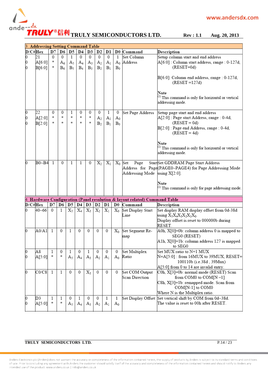

|             | 3. Addressing Setting Command Table |               |              |              |             |          |                                  |                                  |                |                                                                          |                                                                                 |
|-------------|-------------------------------------|---------------|--------------|--------------|-------------|----------|----------------------------------|----------------------------------|----------------|--------------------------------------------------------------------------|---------------------------------------------------------------------------------|
| $D/C\#$ Hex |                                     | D7            |              | D6 D5        | D4          | D3       | D <sub>2</sub>                   | D1                               |                | D0 Command                                                               | Description                                                                     |
| O           | 21                                  | $\Omega$      | $\Omega$     | $\mathbf{1}$ | $\mathbf 0$ | $\theta$ | $\Omega$                         | $\Omega$                         | 1              | Set Column                                                               | Setup column start and end address                                              |
| Ю           | A[6:0]                              | 寧             | $A_6$        | $A_5$        | $A_4$       | $A_3$    | $A_2$                            | A <sub>1</sub>                   | $A_0$          | Address                                                                  | A[6:0] : Column start address, range : 0-127d,                                  |
| 0           | B[6:0]                              | 家             | $B_6$        | $B_5$        | $B_4$       | $B_3$    | B <sub>2</sub>                   | B <sub>1</sub>                   | $B_0$          |                                                                          | $(RESET=0d)$                                                                    |
|             |                                     |               |              |              |             |          |                                  |                                  |                |                                                                          | B[6:0]: Column end address, range : 0-127d,<br>$(REST = 127d)$                  |
|             |                                     |               |              |              |             |          |                                  |                                  |                |                                                                          | Note<br>(1) This command is only for horizontal or vertical<br>addressing mode. |
| 0           | 22                                  | 0             | 0            | 1            | 0           | 0        | 0                                | 1                                | 0              | Set Page Address                                                         | Setup page start and end address                                                |
| 0<br>O      | A[2:0]<br>B[2:0]                    | $\frac{1}{2}$ | 家<br>家       | \$.<br>ŵ.    | 冰<br>冰      | 咏<br>咏   | A <sub>2</sub><br>B <sub>2</sub> | A <sub>1</sub><br>B <sub>1</sub> | $A_0$<br>$B_0$ |                                                                          | A[2:0] : Page start Address, range : 0-4d,<br>$(REST = 0d)$                     |
|             |                                     |               |              |              |             |          |                                  |                                  |                |                                                                          | B[2:0] : Page end Address, range : 0-4d,<br>$(REST = 4d)$                       |
|             |                                     |               |              |              |             |          |                                  |                                  |                |                                                                          | Note<br>(1) This command is only for horizontal or vertical<br>addressing mode. |
| b           | $B0 - B4$                           | $\mathbf{1}$  | $\Omega$     | $\mathbf{1}$ | 1           | $\Omega$ | $X_2$                            | $X_1$                            |                | $X_0$ Set<br>Page                                                        | StartSet GDDRAM Page Start Address                                              |
|             |                                     |               |              |              |             |          |                                  |                                  |                |                                                                          | Address for Page(PAGE0~PAGE4) for Page Addressing Mode                          |
|             |                                     |               |              |              |             |          |                                  |                                  |                | Addressing Mode using $X[2:0]$ .                                         |                                                                                 |
|             |                                     |               |              |              |             |          |                                  |                                  |                |                                                                          | Note<br>(1) This command is only for page addressing mode.                      |
|             |                                     |               |              |              |             |          |                                  |                                  |                | Hardware Configuration (Panel resolution & layout related) Command Table |                                                                                 |
| D/C#Hex     |                                     | D7            | D6           | D5           | D4          | D3       | D <sub>2</sub>                   | Dl                               | $\mathbf{D}0$  | Command                                                                  | Description                                                                     |
|             | 40~66                               | $^{0}$        | 1            | $X_5$        | $X_4$       | $X_3$    | $X_2$                            | $X_1$                            | $\rm X_0$      | Set Display Start                                                        | Set display RAM display offset from 0d-38d                                      |
|             |                                     |               |              |              |             |          |                                  |                                  |                | Line                                                                     | using $X_5X_4X_3X_2X_1X_0$ .                                                    |
|             |                                     |               |              |              |             |          |                                  |                                  |                |                                                                          | Display offset is reset to 000000b during                                       |
|             |                                     |               |              |              |             |          |                                  |                                  |                |                                                                          | RESET.                                                                          |
| 0           | A0/A1                               | 1             | $\Omega$     | 1            | $\Omega$    | 0        | 0                                | 0                                | $\rm X_0$      | Set Segment Re-                                                          | A0h, X[0]=0b: column address 0 is mapped to                                     |
|             |                                     |               |              |              |             |          |                                  |                                  |                | map                                                                      | SEG0 (RESET)                                                                    |
|             |                                     |               |              |              |             |          |                                  |                                  |                |                                                                          | A1h, X[0]=1b: column address 127 is mapped<br>to SEG0                           |
| 0           | A8                                  | 1             | 0            | 1            | 0           | 1        | 0                                | 0                                | 0              | Set Multiplex                                                            | Set MUX ratio to N+1 MUX                                                        |
| 0           | A[5:0]                              | 家             | Ŵ.           | $A_5$        | $A_4$       | $A_3$    | A <sub>2</sub>                   | A <sub>1</sub>                   | $A_0$          | Ratio                                                                    | N=A[5:0] : from 16MUX to 39MUX, RESET=                                          |
|             |                                     |               |              |              |             |          |                                  |                                  |                |                                                                          | 100110b (i.e.38d, 39Mux)                                                        |
|             |                                     |               |              |              |             |          |                                  |                                  |                |                                                                          | $A[5:0]$ from 0 to 14 are invalid entry.                                        |
| 0           | CO/C8                               | 1             | $\mathbf{1}$ | $\Omega$     | 0           | $X_3$    | 0                                | $\Omega$                         | $\mathbf{0}$   | Set COM Output                                                           | C0h, X[3]=0b: normal mode (RESET) Scan                                          |
|             |                                     |               |              |              |             |          |                                  |                                  |                | Scan Direction                                                           | from COM0 to COM[N-1]                                                           |
|             |                                     |               |              |              |             |          |                                  |                                  |                |                                                                          | C8h, X[3]=1b: remapped mode. Scan from                                          |
|             |                                     |               |              |              |             |          |                                  |                                  |                |                                                                          | COM[N-1] to COM0                                                                |
|             |                                     |               |              |              |             |          |                                  |                                  |                |                                                                          | Where N is the Multiplex ratio.                                                 |
| 0           | D3                                  | 1             | 1            | 0            | 1           | 0        | 0                                | 1                                | 1              |                                                                          | Set Display Offset Set vertical shift by COM from 0d~38d.                       |
| 0           | A[5:0]                              | s)            | \$           | A5           | $A_4$       | $A_3$    | $A_2$                            | A <sub>1</sub>                   | $A_0$          |                                                                          | The value is reset to 00h after RESET.                                          |
|             |                                     |               |              |              |             |          |                                  |                                  |                |                                                                          |                                                                                 |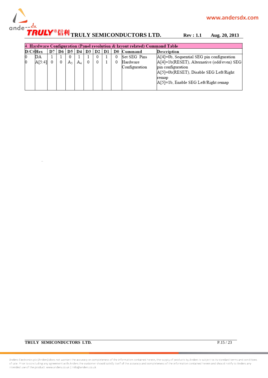

| 4. Hardware Configuration (Panel resolution & layout related) Command Table |    |        |         |    |         |  |     |                |               |                                               |
|-----------------------------------------------------------------------------|----|--------|---------|----|---------|--|-----|----------------|---------------|-----------------------------------------------|
| $\mathbf{D}/\mathbf{C}\# \mathbf{Hex}$                                      | D7 | D6     | D5 I    | D4 | D3   D2 |  | D1. | $_{\text{D}0}$ | Command       | Description                                   |
| DА                                                                          |    |        |         |    |         |  |     |                | Set SEG Pins  | $[A[4]=0b$ , Sequential SEG pin configuration |
| A[5:4]                                                                      |    | $^{0}$ | $A_{5}$ | A. |         |  |     |                | Hardware      | A[4]=1b(RESET), Alternative (odd/even) SEG    |
|                                                                             |    |        |         |    |         |  |     |                | Configuration | pin configuration                             |
|                                                                             |    |        |         |    |         |  |     |                |               | A[5]=0b(RESET), Disable SEG Left/Right        |
|                                                                             |    |        |         |    |         |  |     |                |               | remap                                         |
|                                                                             |    |        |         |    |         |  |     |                |               | A[5]=1b, Enable SEG Left/Right remap          |
|                                                                             |    |        |         |    |         |  |     |                |               |                                               |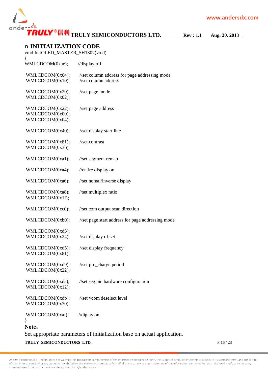

#### n **INITIALIZATION CODE**

| void InitOLED_MASTER_SH1307(void)                     |                                                                          |
|-------------------------------------------------------|--------------------------------------------------------------------------|
| ₹<br>WMLCDCOM(0xae);                                  | //display off                                                            |
| WMLCDCOM(0x04);<br>WMLCDCOM(0x10);                    | //set column address for page addressing mode<br>//set column address    |
| WMLCDCOM(0x20);<br>WMLCDCOM(0x02);                    | //set page mode                                                          |
| WMLCDCOM(0x22);<br>WMLCDCOM(0x00);<br>WMLCDCOM(0x04); | //set page address                                                       |
| WMLCDCOM(0x40);                                       | //set display start line                                                 |
| WMLCDCOM(0x81);<br>WMLCDCOM(0x3b);                    | //set contrast                                                           |
| WMLCDCOM(0xa1);                                       | //set segment remap                                                      |
| WMLCDCOM(0xa4);                                       | //entire display on                                                      |
| WMLCDCOM(0xa6);                                       | //set nomal/inverse display                                              |
| WMLCDCOM(0xa8);<br>WMLCDCOM(0x1f);                    | //set multiplex ratio                                                    |
| WMLCDCOM(0xc0);                                       | //set com output scan direction                                          |
| WMLCDCOM(0xb0);                                       | //set page start address for page addressing mode                        |
| WMLCDCOM(0xd3);<br>WMLCDCOM(0x24);                    | //set display offset                                                     |
| WMLCDCOM(0xd5);<br>WMLCDCOM(0x81);                    | //set display frequency                                                  |
| WMLCDCOM(0xd9);<br>WMLCDCOM(0x22);                    | //set pre_charge period                                                  |
| WMLCDCOM(0xda);<br>WMLCDCOM(0x12);                    | //set seg pin hardware configuration                                     |
| WMLCDCOM(0xdb);<br>WMLCDCOM(0x30);                    | //set vcom deselect level                                                |
| WMLCDCOM(0xaf);<br>∤                                  | //diplay on                                                              |
| Note:                                                 |                                                                          |
|                                                       | Set appropriate parameters of initialization base on actual application. |

**TRULY SEMICONDUCTORS LTD.** P.16 / 23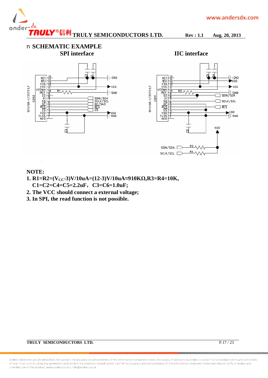

n **SCHEMATIC EXAMPLE SPI interface IIC interface** 



#### **NOTE:**

- **1. R1=R2=(VCC-3)V/10uA=(12-3)V/10uA≈910KΩ,R3=R4=10K, C1=C2=C4=C5=2.2uF,C3=C6=1.0uF;**
- **2. The VCC should connect a external voltage;**
- **3. In SPI, the read function is not possible.**

Anders Electronics plc (Anders) does not warrant the accuracy or completeness of the information contained herein, the supply of products by Anders is subject to its standard terms and conditions of sale. Prior to concluding any agreement with Anders the customer should satisfy itself of the accuracy and completeness of the information contained herein and should notify to Anders any intended use of the product. www.anders.co.uk | Info@anders.co.uk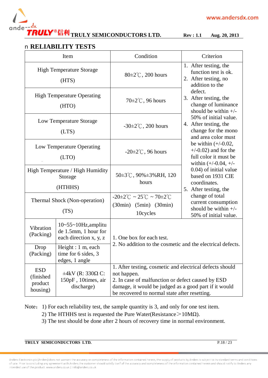

#### n **RELIABILITY TESTS**

|                                                 | Item                                                                                   | Condition                                                                                                                                                                                                                              | Criterion                                                                                            |  |  |
|-------------------------------------------------|----------------------------------------------------------------------------------------|----------------------------------------------------------------------------------------------------------------------------------------------------------------------------------------------------------------------------------------|------------------------------------------------------------------------------------------------------|--|--|
|                                                 | <b>High Temperature Storage</b><br>(HTS)                                               | 80±2°C, 200 hours                                                                                                                                                                                                                      | 1. After testing, the<br>function test is ok.<br>2. After testing, no<br>addition to the             |  |  |
|                                                 | <b>High Temperature Operating</b><br>(HTO)                                             | $70\pm2\degree$ C, 96 hours                                                                                                                                                                                                            | defect.<br>3. After testing, the<br>change of luminance<br>should be within $+/-$                    |  |  |
|                                                 | Low Temperature Storage<br>(LTS)                                                       | $-30 \pm 2^{\circ}$ C, 200 hours                                                                                                                                                                                                       | 50% of initial value.<br>4. After testing, the<br>change for the mono<br>and area color must         |  |  |
|                                                 | Low Temperature Operating<br>(LTO)                                                     | $-20\pm2\degree$ C, 96 hours                                                                                                                                                                                                           | be within $(+/-0.02,$<br>$+/-0.02$ ) and for the<br>full color it must be<br>within $(+/-0.04, +/-)$ |  |  |
|                                                 | High Temperature / High Humidity<br>Storage<br>(HTHHS)                                 | $50\pm3\degree$ C, $90\% \pm 3\%$ RH, 120<br>hours                                                                                                                                                                                     | 0.04) of initial value<br>based on 1931 CIE<br>coordinates.<br>5. After testing, the                 |  |  |
|                                                 | Thermal Shock (Non-operation)<br>(TS)                                                  | $-20\pm2\degree C \sim 25\degree C \sim 70\pm2\degree C$<br>$(30\text{min})$ $(5\text{min})$ $(30\text{min})$<br>10cycles                                                                                                              | change of total<br>current consumption<br>should be within $+/-$<br>50% of initial value.            |  |  |
| Vibration<br>(Packing)                          | $10 \times 55 \times 10$ Hz, amplitu<br>de 1.5mm, 1 hour for<br>each direction x, y, z | 1. One box for each test.                                                                                                                                                                                                              |                                                                                                      |  |  |
| Drop<br>(Packing)                               | Height: 1 m, each<br>time for 6 sides, 3<br>edges, 1 angle                             |                                                                                                                                                                                                                                        | 2. No addition to the cosmetic and the electrical defects.                                           |  |  |
| <b>ESD</b><br>(finished)<br>product<br>housing) | $\pm 4kV$ (R: 330 $\Omega$ C:<br>150pF, 10times, air<br>discharge)                     | 1. After testing, cosmetic and electrical defects should<br>not happen.<br>2. In case of malfunction or defect caused by ESD<br>damage, it would be judged as a good part if it would<br>be recovered to normal state after resetting. |                                                                                                      |  |  |

Note: 1) For each reliability test, the sample quantity is 3, and only for one test item.

2) The HTHHS test is requested the Pure Water(Resistance  $>10M\Omega$ ).

3) The test should be done after 2 hours of recovery time in normal environment.

**TRULY SEMICONDUCTORS LTD.** P.18 / 23

Anders Electronics plc (Anders) does not warrant the accuracy or completeness of the information contained herein, the supply of products by Anders is subject to its standard terms and conditions of sale. Prior to concluding any agreement with Anders the customer should satisfy itself of the accuracy and completeness of the information contained herein and should notify to Anders any intended use of the product. www.anders.co.uk | Info@anders.co.uk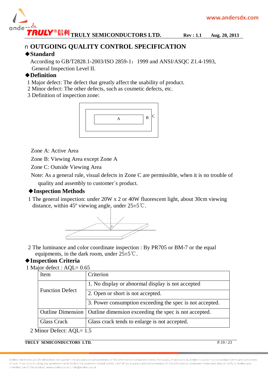

### n **OUTGOING QUALITY CONTROL SPECIFICATION**

#### ◆**Standard**

According to GB/T2828.1-2003/ISO 2859-1: 1999 and ANSI/ASQC Z1.4-1993, General Inspection Level II.

### ◆**Definition**

- 1 Major defect: The defect that greatly affect the usability of product.
- 2 Minor defect: The other defects, such as cosmetic defects, etc.

3 Definition of inspection zone:



Zone A: Active Area

Zone B: Viewing Area except Zone A

Zone C: Outside Viewing Area

 Note: As a general rule, visual defects in Zone C are permissible, when it is no trouble of quality and assembly to customer`s product.

### ◆**Inspection Methods**

1 The general inspection: under 20W x 2 or 40W fluorescent light, about 30cm viewing distance, within 45 $^{\circ}$  viewing angle, under 25 $\pm$ 5 $^{\circ}$ C.



2 The luminance and color coordinate inspection : By PR705 or BM-7 or the equal equipments, in the dark room, under  $25±5^{\circ}$ C.

#### ◆**Inspection Criteria**

1 Major defect : AQL= 0.65

| Item                     | Criterion                                                |  |  |  |  |  |
|--------------------------|----------------------------------------------------------|--|--|--|--|--|
|                          | 1. No display or abnormal display is not accepted        |  |  |  |  |  |
| <b>Function Defect</b>   | 2. Open or short is not accepted.                        |  |  |  |  |  |
|                          | 3. Power consumption exceeding the spec is not accepted. |  |  |  |  |  |
| <b>Outline Dimension</b> | Outline dimension exceeding the spec is not accepted.    |  |  |  |  |  |
| Glass Crack              | Glass crack tends to enlarge is not accepted.            |  |  |  |  |  |

2 Minor Defect: AQL= 1.5

**TRULY SEMICONDUCTORS LTD.** P.19/23

Anders Electronics plc (Anders) does not warrant the accuracy or completeness of the information contained herein, the supply of products by Anders is subject to its standard terms and conditions of sale. Prior to concluding any agreement with Anders the customer should satisfy itself of the accuracy and completeness of the information contained herein and should notify to Anders any intended use of the product, www.anders.co.uk | Info@anders.co.uk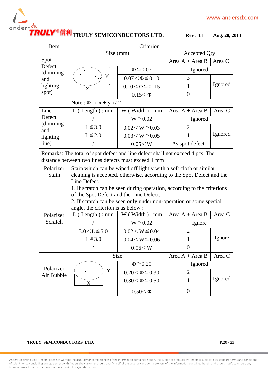## **TRULY SEMICONDUCTORS LTD. Rev : 1.1 Aug. 20, 2013**

| Item                                                                                                                                 |                                                                                                          | Criterion               |                     |         |  |  |  |  |  |
|--------------------------------------------------------------------------------------------------------------------------------------|----------------------------------------------------------------------------------------------------------|-------------------------|---------------------|---------|--|--|--|--|--|
|                                                                                                                                      | Size (mm)                                                                                                |                         | <b>Accepted Qty</b> |         |  |  |  |  |  |
| Spot                                                                                                                                 |                                                                                                          |                         | Area $A + Area B$   | Area C  |  |  |  |  |  |
| Defect<br>(dimming                                                                                                                   |                                                                                                          | $\Phi \leq 0.07$        | Ignored             |         |  |  |  |  |  |
| and                                                                                                                                  | Υ                                                                                                        | $0.07 < \Phi \le 0.10$  | 3                   |         |  |  |  |  |  |
| lighting                                                                                                                             | X                                                                                                        | $0.10 < \Phi \leq 0.15$ | 1                   | Ignored |  |  |  |  |  |
| spot)                                                                                                                                |                                                                                                          | $0.15 < \Phi$           | $\overline{0}$      |         |  |  |  |  |  |
|                                                                                                                                      | Note: $\Phi = (x + y)/2$                                                                                 |                         |                     |         |  |  |  |  |  |
| Line                                                                                                                                 | $L$ (Length): mm                                                                                         | $W$ (Width) : mm        | Area $A + Area B$   | Area C  |  |  |  |  |  |
| Defect                                                                                                                               |                                                                                                          | $W \le 0.02$            | Ignored             |         |  |  |  |  |  |
| (dimming<br>and                                                                                                                      | $L \leq 3.0$                                                                                             | $0.02 \le W \le 0.03$   | $\overline{2}$      |         |  |  |  |  |  |
| lighting                                                                                                                             | $L \leq 2.0$                                                                                             | $0.03 \le W \le 0.05$   | 1                   | Ignored |  |  |  |  |  |
| line)                                                                                                                                |                                                                                                          | 0.05 < W                | As spot defect      |         |  |  |  |  |  |
| Remarks: The total of spot defect and line defect shall not exceed 4 pcs. The<br>distance between two lines defects must exceed 1 mm |                                                                                                          |                         |                     |         |  |  |  |  |  |
| Polarizer                                                                                                                            | Stain which can be wiped off lightly with a soft cloth or similar                                        |                         |                     |         |  |  |  |  |  |
| Stain                                                                                                                                | cleaning is accepted, otherwise, according to the Spot Defect and the                                    |                         |                     |         |  |  |  |  |  |
|                                                                                                                                      | Line Defect.<br>1. If scratch can be seen during operation, according to the criterions                  |                         |                     |         |  |  |  |  |  |
|                                                                                                                                      | of the Spot Defect and the Line Defect.                                                                  |                         |                     |         |  |  |  |  |  |
|                                                                                                                                      | 2. If scratch can be seen only under non-operation or some special<br>angle, the criterion is as below : |                         |                     |         |  |  |  |  |  |
| Polarizer                                                                                                                            | $L$ (Length) : mm                                                                                        | W(W <sub>i</sub> ) : mm | Area $A + Area B$   | Area C  |  |  |  |  |  |
| Scratch                                                                                                                              |                                                                                                          | $W \le 0.02$            | Ignore              |         |  |  |  |  |  |
|                                                                                                                                      | $3.0 < L \le 5.0$                                                                                        | $0.02 \le W \le 0.04$   | $\overline{2}$      |         |  |  |  |  |  |
|                                                                                                                                      | $L \leq 3.0$                                                                                             | $0.04 \le W \le 0.06$   | 1                   | Ignore  |  |  |  |  |  |
|                                                                                                                                      |                                                                                                          | 0.06 < W                | $\overline{0}$      |         |  |  |  |  |  |
|                                                                                                                                      | Size                                                                                                     |                         | Area $A + Area B$   | Area C  |  |  |  |  |  |
| Polarizer                                                                                                                            |                                                                                                          | $\Phi \leq 0.20$        | Ignored             |         |  |  |  |  |  |
| Air Bubble                                                                                                                           | Y                                                                                                        | $0.20 < \Phi \le 0.30$  | $\overline{2}$      | Ignored |  |  |  |  |  |
|                                                                                                                                      | X                                                                                                        | $0.30 < \Phi \le 0.50$  | $\mathbf{1}$        |         |  |  |  |  |  |
|                                                                                                                                      |                                                                                                          | $0.50 < \Phi$           | $\overline{0}$      |         |  |  |  |  |  |

#### **TRULY SEMICONDUCTORS LTD.** P.20 / 23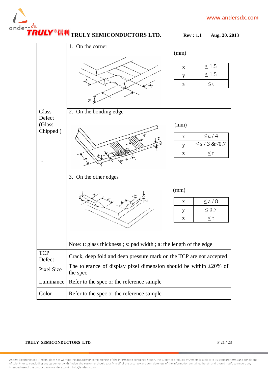



Anders Electronics plc (Anders) does not warrant the accuracy or completeness of the information contained herein, the supply of products by Anders is subject to its standard terms and conditions of sale. Prior to concluding any agreement with Anders the customer should satisfy itself of the accuracy and completeness of the information contained herein and should notify to Anders any intended use of the product, www.anders.co.uk | Info@anders.co.uk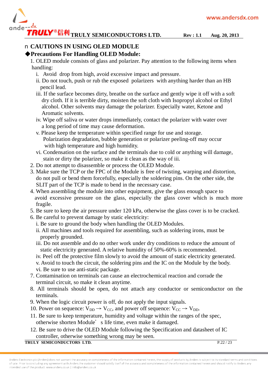

## n **CAUTIONS IN USING OLED MODULE**

### **◆Precautions For Handling OLED Module:**

1. OLED module consists of glass and polarizer. Pay attention to the following items when handling:

- i. Avoid drop from high, avoid excessive impact and pressure.
- ii. Do not touch, push or rub the exposed polarizers with anything harder than an HB pencil lead.
- iii. If the surface becomes dirty, breathe on the surface and gently wipe it off with a soft dry cloth. If it is terrible dirty, moisten the soft cloth with Isopropyl alcohol or Ethyl alcohol. Other solvents may damage the polarizer. Especially water, Ketone and Aromatic solvents.
- iv. Wipe off saliva or water drops immediately, contact the polarizer with water over a long period of time may cause deformation.
- v. Please keep the temperature within specified range for use and storage. Polarization degradation, bubble generation or polarizer peeling-off may occur with high temperature and high humidity.
- vi. Condensation on the surface and the terminals due to cold or anything will damage, stain or dirty the polarizer, so make it clean as the way of iii.
- 2. Do not attempt to disassemble or process the OLED Module.
- 3. Make sure the TCP or the FPC of the Module is free of twisting, warping and distortion, do not pull or bend them forcefully, especially the soldering pins. On the other side, the SLIT part of the TCP is made to bend in the necessary case.
- 4. When assembling the module into other equipment, give the glass enough space to avoid excessive pressure on the glass, especially the glass cover which is much more fragile.
- 5. Be sure to keep the air pressure under 120 kPa, otherwise the glass cover is to be cracked.
- 6. Be careful to prevent damage by static electricity:
	- i. Be sure to ground the body when handling the OLED Modules.
	- ii. All machines and tools required for assembling, such as soldering irons, must be properly grounded.
	- iii. Do not assemble and do no other work under dry conditions to reduce the amount of static electricity generated. A relative humidity of 50%-60% is recommended.
	- iv. Peel off the protective film slowly to avoid the amount of static electricity generated.
	- v. Avoid to touch the circuit, the soldering pins and the IC on the Module by the body. vi. Be sure to use anti-static package.
- 7. Contamination on terminals can cause an electrochemical reaction and corrade the terminal circuit, so make it clean anytime.
- 8. All terminals should be open, do not attach any conductor or semiconductor on the terminals.
- 9. When the logic circuit power is off, do not apply the input signals.
- 10. Power on sequence:  $V_{DD} \rightarrow V_{CC}$ , and power off sequence:  $V_{CC} \rightarrow V_{DD}$ .
- 11. Be sure to keep temperature, humidity and voltage within the ranges of the spec, otherwise shorten Module's life time, even make it damaged.
- 12. Be sure to drive the OLED Module following the Specification and datasheet of IC controller, otherwise something wrong may be seen.

#### **TRULY SEMICONDUCTORS LTD.** P.22 / 23